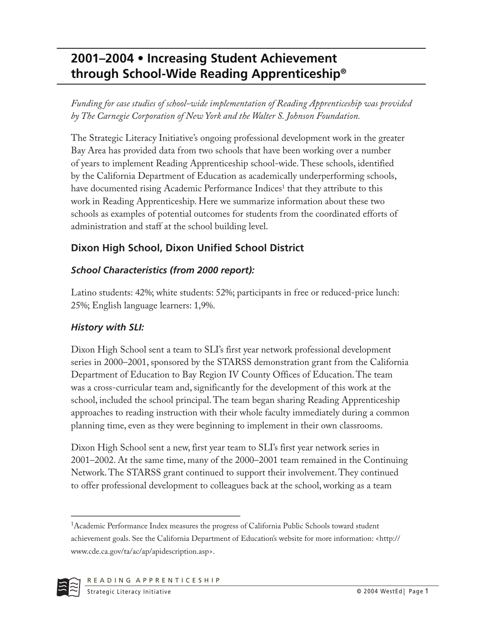# **2001–2004 • Increasing Student Achievement through School-Wide Reading Apprenticeship®**

*Funding for case studies of school-wide implementation of Reading Apprenticeship was provided by The Carnegie Corporation of New York and the Walter S. Johnson Foundation.*

The Strategic Literacy Initiative's ongoing professional development work in the greater Bay Area has provided data from two schools that have been working over a number of years to implement Reading Apprenticeship school-wide. These schools, identified by the California Department of Education as academically underperforming schools, have documented rising Academic Performance Indices<sup>1</sup> that they attribute to this work in Reading Apprenticeship. Here we summarize information about these two schools as examples of potential outcomes for students from the coordinated efforts of administration and staff at the school building level.

## **Dixon High School, Dixon Unified School District**

### *School Characteristics (from 2000 report):*

Latino students: 42%; white students: 52%; participants in free or reduced-price lunch: 25%; English language learners: 1,9%.

### *History with SLI:*

Dixon High School sent a team to SLI's first year network professional development series in 2000–2001, sponsored by the STARSS demonstration grant from the California Department of Education to Bay Region IV County Offices of Education. The team was a cross-curricular team and, significantly for the development of this work at the school, included the school principal. The team began sharing Reading Apprenticeship approaches to reading instruction with their whole faculty immediately during a common planning time, even as they were beginning to implement in their own classrooms.

Dixon High School sent a new, first year team to SLI's first year network series in 2001–2002. At the same time, many of the 2000–2001 team remained in the Continuing Network. The STARSS grant continued to support their involvement. They continued to offer professional development to colleagues back at the school, working as a team

<sup>&</sup>lt;sup>1</sup>Academic Performance Index measures the progress of California Public Schools toward student achievement goals. See the California Department of Education's website for more information: <http:// www.cde.ca.gov/ta/ac/ap/apidescription.asp>.

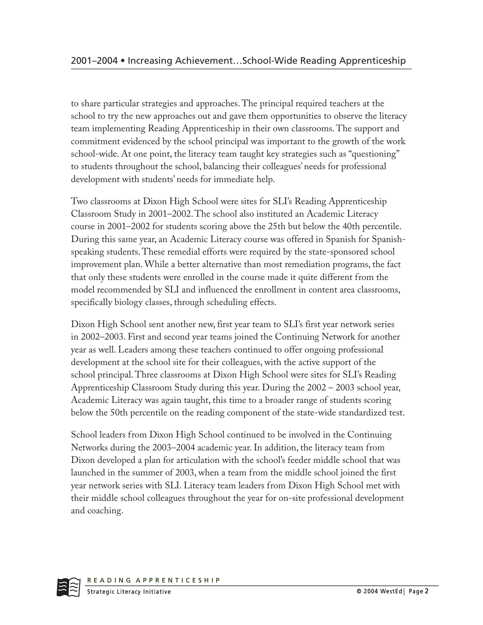to share particular strategies and approaches. The principal required teachers at the school to try the new approaches out and gave them opportunities to observe the literacy team implementing Reading Apprenticeship in their own classrooms. The support and commitment evidenced by the school principal was important to the growth of the work school-wide. At one point, the literacy team taught key strategies such as "questioning" to students throughout the school, balancing their colleagues' needs for professional development with students' needs for immediate help.

Two classrooms at Dixon High School were sites for SLI's Reading Apprenticeship Classroom Study in 2001–2002. The school also instituted an Academic Literacy course in 2001–2002 for students scoring above the 25th but below the 40th percentile. During this same year, an Academic Literacy course was offered in Spanish for Spanishspeaking students. These remedial efforts were required by the state-sponsored school improvement plan. While a better alternative than most remediation programs, the fact that only these students were enrolled in the course made it quite different from the model recommended by SLI and influenced the enrollment in content area classrooms, specifically biology classes, through scheduling effects.

Dixon High School sent another new, first year team to SLI's first year network series in 2002–2003. First and second year teams joined the Continuing Network for another year as well. Leaders among these teachers continued to offer ongoing professional development at the school site for their colleagues, with the active support of the school principal. Three classrooms at Dixon High School were sites for SLI's Reading Apprenticeship Classroom Study during this year. During the 2002 – 2003 school year, Academic Literacy was again taught, this time to a broader range of students scoring below the 50th percentile on the reading component of the state-wide standardized test.

School leaders from Dixon High School continued to be involved in the Continuing Networks during the 2003–2004 academic year. In addition, the literacy team from Dixon developed a plan for articulation with the school's feeder middle school that was launched in the summer of 2003, when a team from the middle school joined the first year network series with SLI. Literacy team leaders from Dixon High School met with their middle school colleagues throughout the year for on-site professional development and coaching.

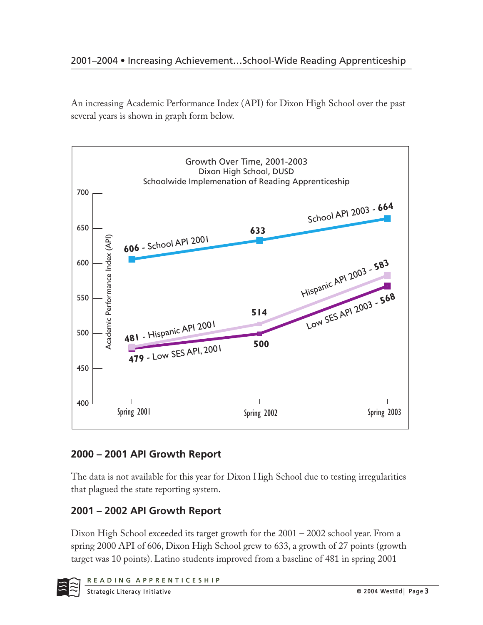An increasing Academic Performance Index (API) for Dixon High School over the past several years is shown in graph form below.



## **2000 – 2001 API Growth Report**

The data is not available for this year for Dixon High School due to testing irregularities that plagued the state reporting system.

## **2001 – 2002 API Growth Report**

Dixon High School exceeded its target growth for the 2001 – 2002 school year. From a spring 2000 API of 606, Dixon High School grew to 633, a growth of 27 points (growth target was 10 points). Latino students improved from a baseline of 481 in spring 2001

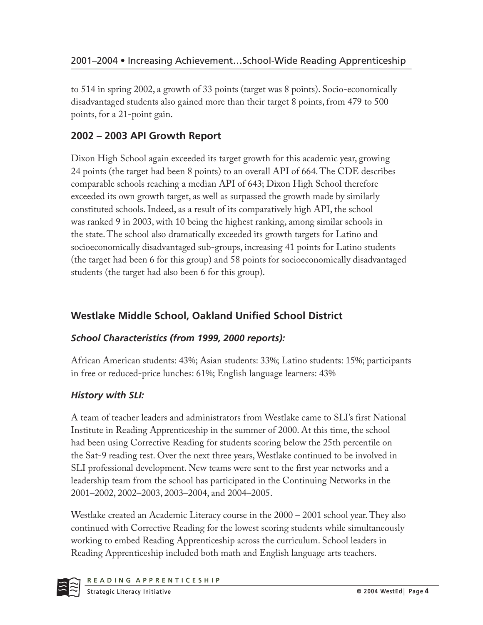to 514 in spring 2002, a growth of 33 points (target was 8 points). Socio-economically disadvantaged students also gained more than their target 8 points, from 479 to 500 points, for a 21-point gain.

## **2002 – 2003 API Growth Report**

Dixon High School again exceeded its target growth for this academic year, growing 24 points (the target had been 8 points) to an overall API of 664. The CDE describes comparable schools reaching a median API of 643; Dixon High School therefore exceeded its own growth target, as well as surpassed the growth made by similarly constituted schools. Indeed, as a result of its comparatively high API, the school was ranked 9 in 2003, with 10 being the highest ranking, among similar schools in the state. The school also dramatically exceeded its growth targets for Latino and socioeconomically disadvantaged sub-groups, increasing 41 points for Latino students (the target had been 6 for this group) and 58 points for socioeconomically disadvantaged students (the target had also been 6 for this group).

## **Westlake Middle School, Oakland Unified School District**

### *School Characteristics (from 1999, 2000 reports):*

African American students: 43%; Asian students: 33%; Latino students: 15%; participants in free or reduced-price lunches: 61%; English language learners: 43%

## *History with SLI:*

A team of teacher leaders and administrators from Westlake came to SLI's first National Institute in Reading Apprenticeship in the summer of 2000. At this time, the school had been using Corrective Reading for students scoring below the 25th percentile on the Sat-9 reading test. Over the next three years, Westlake continued to be involved in SLI professional development. New teams were sent to the first year networks and a leadership team from the school has participated in the Continuing Networks in the 2001–2002, 2002–2003, 2003–2004, and 2004–2005.

Westlake created an Academic Literacy course in the 2000 – 2001 school year. They also continued with Corrective Reading for the lowest scoring students while simultaneously working to embed Reading Apprenticeship across the curriculum. School leaders in Reading Apprenticeship included both math and English language arts teachers.

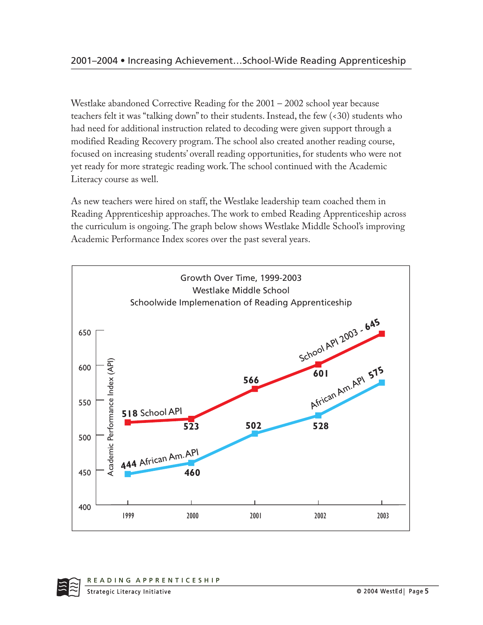Westlake abandoned Corrective Reading for the 2001 – 2002 school year because teachers felt it was "talking down" to their students. Instead, the few (<30) students who had need for additional instruction related to decoding were given support through a modified Reading Recovery program. The school also created another reading course, focused on increasing students' overall reading opportunities, for students who were not yet ready for more strategic reading work. The school continued with the Academic Literacy course as well.

As new teachers were hired on staff, the Westlake leadership team coached them in Reading Apprenticeship approaches. The work to embed Reading Apprenticeship across the curriculum is ongoing. The graph below shows Westlake Middle School's improving Academic Performance Index scores over the past several years.